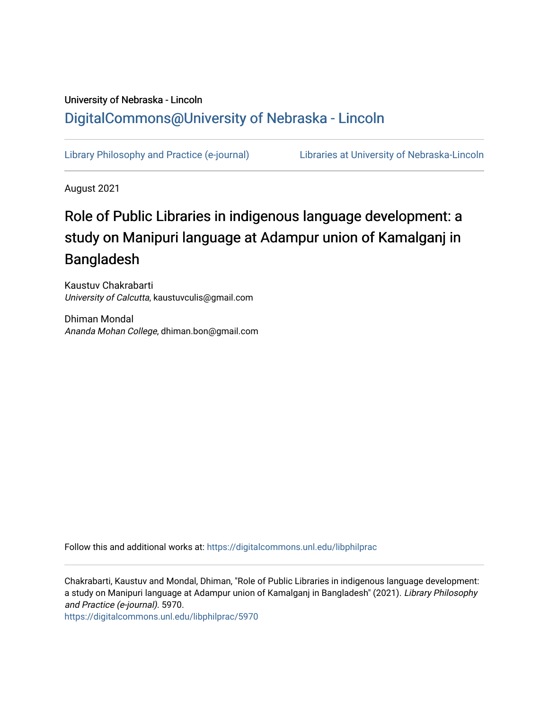# University of Nebraska - Lincoln [DigitalCommons@University of Nebraska - Lincoln](https://digitalcommons.unl.edu/)

[Library Philosophy and Practice \(e-journal\)](https://digitalcommons.unl.edu/libphilprac) [Libraries at University of Nebraska-Lincoln](https://digitalcommons.unl.edu/libraries) 

August 2021

# Role of Public Libraries in indigenous language development: a study on Manipuri language at Adampur union of Kamalganj in Bangladesh

Kaustuv Chakrabarti University of Calcutta, kaustuvculis@gmail.com

Dhiman Mondal Ananda Mohan College, dhiman.bon@gmail.com

Follow this and additional works at: [https://digitalcommons.unl.edu/libphilprac](https://digitalcommons.unl.edu/libphilprac?utm_source=digitalcommons.unl.edu%2Flibphilprac%2F5970&utm_medium=PDF&utm_campaign=PDFCoverPages) 

Chakrabarti, Kaustuv and Mondal, Dhiman, "Role of Public Libraries in indigenous language development: a study on Manipuri language at Adampur union of Kamalganj in Bangladesh" (2021). Library Philosophy and Practice (e-journal). 5970.

[https://digitalcommons.unl.edu/libphilprac/5970](https://digitalcommons.unl.edu/libphilprac/5970?utm_source=digitalcommons.unl.edu%2Flibphilprac%2F5970&utm_medium=PDF&utm_campaign=PDFCoverPages)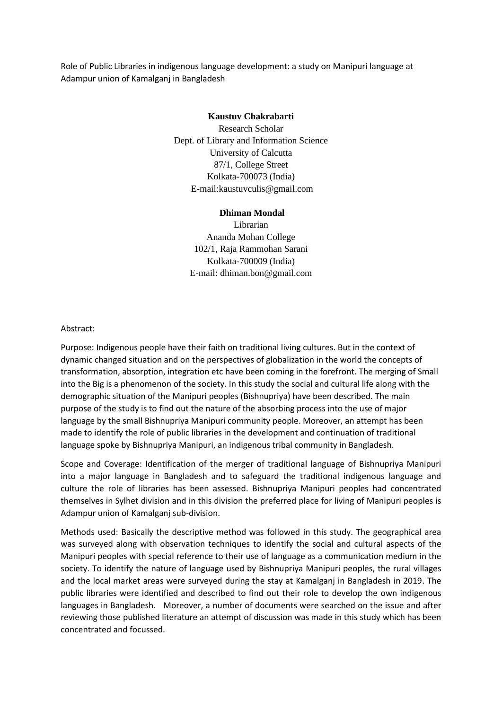Role of Public Libraries in indigenous language development: a study on Manipuri language at Adampur union of Kamalganj in Bangladesh

#### **Kaustuv Chakrabarti**

Research Scholar Dept. of Library and Information Science University of Calcutta 87/1, College Street Kolkata-700073 (India) E-mail:kaustuvculis@gmail.com

#### **Dhiman Mondal**

Librarian Ananda Mohan College 102/1, Raja Rammohan Sarani Kolkata-700009 (India) E-mail: dhiman.bon@gmail.com

#### Abstract:

Purpose: Indigenous people have their faith on traditional living cultures. But in the context of dynamic changed situation and on the perspectives of globalization in the world the concepts of transformation, absorption, integration etc have been coming in the forefront. The merging of Small into the Big is a phenomenon of the society. In this study the social and cultural life along with the demographic situation of the Manipuri peoples (Bishnupriya) have been described. The main purpose of the study is to find out the nature of the absorbing process into the use of major language by the small Bishnupriya Manipuri community people. Moreover, an attempt has been made to identify the role of public libraries in the development and continuation of traditional language spoke by Bishnupriya Manipuri, an indigenous tribal community in Bangladesh.

Scope and Coverage: Identification of the merger of traditional language of Bishnupriya Manipuri into a major language in Bangladesh and to safeguard the traditional indigenous language and culture the role of libraries has been assessed. Bishnupriya Manipuri peoples had concentrated themselves in Sylhet division and in this division the preferred place for living of Manipuri peoples is Adampur union of Kamalganj sub-division.

Methods used: Basically the descriptive method was followed in this study. The geographical area was surveyed along with observation techniques to identify the social and cultural aspects of the Manipuri peoples with special reference to their use of language as a communication medium in the society. To identify the nature of language used by Bishnupriya Manipuri peoples, the rural villages and the local market areas were surveyed during the stay at Kamalganj in Bangladesh in 2019. The public libraries were identified and described to find out their role to develop the own indigenous languages in Bangladesh. Moreover, a number of documents were searched on the issue and after reviewing those published literature an attempt of discussion was made in this study which has been concentrated and focussed.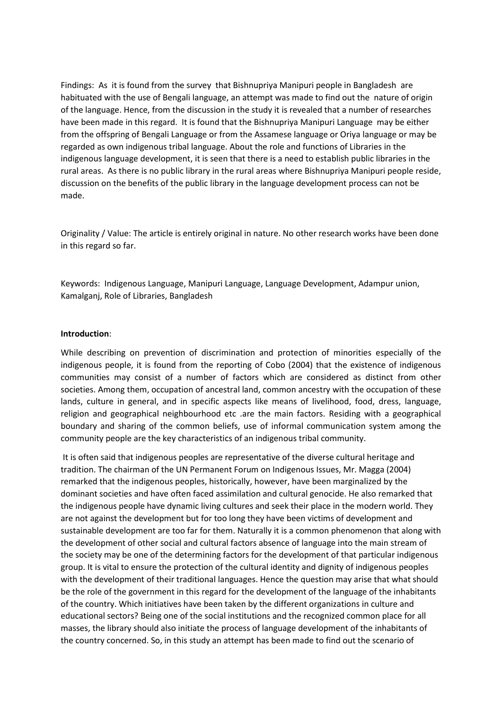Findings: As it is found from the survey that Bishnupriya Manipuri people in Bangladesh are habituated with the use of Bengali language, an attempt was made to find out the nature of origin of the language. Hence, from the discussion in the study it is revealed that a number of researches have been made in this regard. It is found that the Bishnupriya Manipuri Language may be either from the offspring of Bengali Language or from the Assamese language or Oriya language or may be regarded as own indigenous tribal language. About the role and functions of Libraries in the indigenous language development, it is seen that there is a need to establish public libraries in the rural areas. As there is no public library in the rural areas where Bishnupriya Manipuri people reside, discussion on the benefits of the public library in the language development process can not be made.

Originality / Value: The article is entirely original in nature. No other research works have been done in this regard so far.

Keywords: Indigenous Language, Manipuri Language, Language Development, Adampur union, Kamalganj, Role of Libraries, Bangladesh

#### **Introduction**:

While describing on prevention of discrimination and protection of minorities especially of the indigenous people, it is found from the reporting of Cobo (2004) that the existence of indigenous communities may consist of a number of factors which are considered as distinct from other societies. Among them, occupation of ancestral land, common ancestry with the occupation of these lands, culture in general, and in specific aspects like means of livelihood, food, dress, language, religion and geographical neighbourhood etc .are the main factors. Residing with a geographical boundary and sharing of the common beliefs, use of informal communication system among the community people are the key characteristics of an indigenous tribal community.

It is often said that indigenous peoples are representative of the diverse cultural heritage and tradition. The chairman of the UN Permanent Forum on Indigenous Issues, Mr. Magga (2004) remarked that the indigenous peoples, historically, however, have been marginalized by the dominant societies and have often faced assimilation and cultural genocide. He also remarked that the indigenous people have dynamic living cultures and seek their place in the modern world. They are not against the development but for too long they have been victims of development and sustainable development are too far for them. Naturally it is a common phenomenon that along with the development of other social and cultural factors absence of language into the main stream of the society may be one of the determining factors for the development of that particular indigenous group. It is vital to ensure the protection of the cultural identity and dignity of indigenous peoples with the development of their traditional languages. Hence the question may arise that what should be the role of the government in this regard for the development of the language of the inhabitants of the country. Which initiatives have been taken by the different organizations in culture and educational sectors? Being one of the social institutions and the recognized common place for all masses, the library should also initiate the process of language development of the inhabitants of the country concerned. So, in this study an attempt has been made to find out the scenario of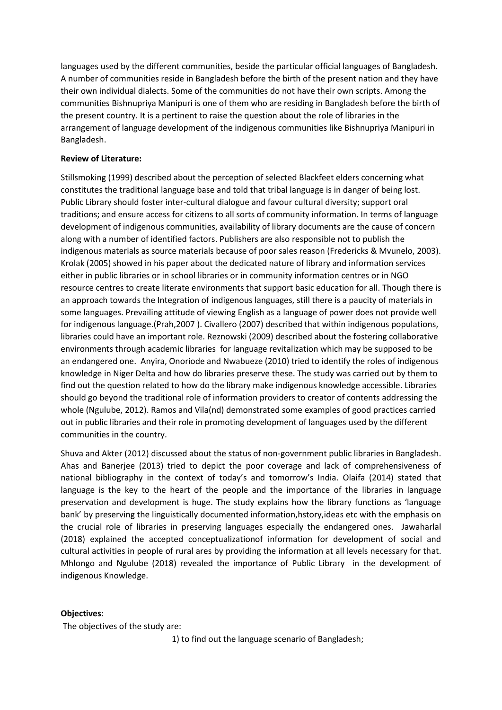languages used by the different communities, beside the particular official languages of Bangladesh. A number of communities reside in Bangladesh before the birth of the present nation and they have their own individual dialects. Some of the communities do not have their own scripts. Among the communities Bishnupriya Manipuri is one of them who are residing in Bangladesh before the birth of the present country. It is a pertinent to raise the question about the role of libraries in the arrangement of language development of the indigenous communities like Bishnupriya Manipuri in Bangladesh.

# **Review of Literature:**

Stillsmoking (1999) described about the perception of selected Blackfeet elders concerning what constitutes the traditional language base and told that tribal language is in danger of being lost. Public Library should foster inter-cultural dialogue and favour cultural diversity; support oral traditions; and ensure access for citizens to all sorts of community information. In terms of language development of indigenous communities, availability of library documents are the cause of concern along with a number of identified factors. Publishers are also responsible not to publish the indigenous materials as source materials because of poor sales reason (Fredericks & Mvunelo, 2003). Krolak (2005) showed in his paper about the dedicated nature of library and information services either in public libraries or in school libraries or in community information centres or in NGO resource centres to create literate environments that support basic education for all. Though there is an approach towards the Integration of indigenous languages, still there is a paucity of materials in some languages. Prevailing attitude of viewing English as a language of power does not provide well for indigenous language.(Prah,2007 ). Civallero (2007) described that within indigenous populations, libraries could have an important role. Reznowski (2009) described about the fostering collaborative environments through academic libraries for language revitalization which may be supposed to be an endangered one. Anyira, Onoriode and Nwabueze (2010) tried to identify the roles of indigenous knowledge in Niger Delta and how do libraries preserve these. The study was carried out by them to find out the question related to how do the library make indigenous knowledge accessible. Libraries should go beyond the traditional role of information providers to creator of contents addressing the whole (Ngulube, 2012). Ramos and Vila(nd) demonstrated some examples of good practices carried out in public libraries and their role in promoting development of languages used by the different communities in the country.

Shuva and Akter (2012) discussed about the status of non-government public libraries in Bangladesh. Ahas and Banerjee (2013) tried to depict the poor coverage and lack of comprehensiveness of national bibliography in the context of today's and tomorrow's India. Olaifa (2014) stated that language is the key to the heart of the people and the importance of the libraries in language preservation and development is huge. The study explains how the library functions as 'language bank' by preserving the linguistically documented information,hstory,ideas etc with the emphasis on the crucial role of libraries in preserving languages especially the endangered ones. Jawaharlal (2018) explained the accepted conceptualizationof information for development of social and cultural activities in people of rural ares by providing the information at all levels necessary for that. Mhlongo and Ngulube (2018) revealed the importance of Public Library in the development of indigenous Knowledge.

# **Objectives**:

The objectives of the study are:

1) to find out the language scenario of Bangladesh;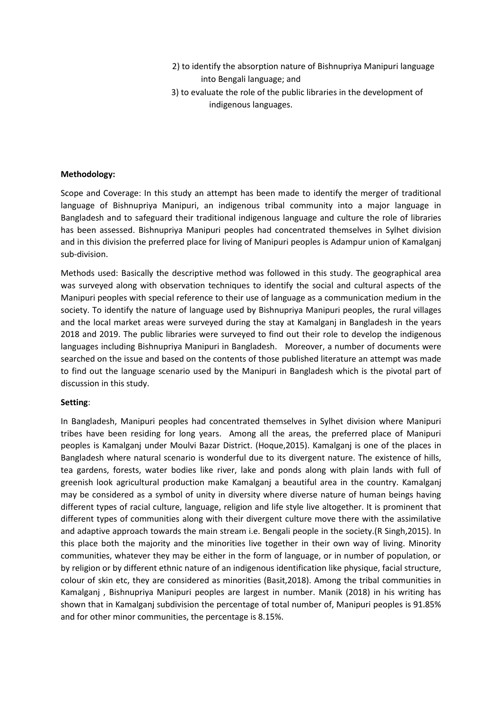- 2) to identify the absorption nature of Bishnupriya Manipuri language into Bengali language; and
- 3) to evaluate the role of the public libraries in the development of indigenous languages.

### **Methodology:**

Scope and Coverage: In this study an attempt has been made to identify the merger of traditional language of Bishnupriya Manipuri, an indigenous tribal community into a major language in Bangladesh and to safeguard their traditional indigenous language and culture the role of libraries has been assessed. Bishnupriya Manipuri peoples had concentrated themselves in Sylhet division and in this division the preferred place for living of Manipuri peoples is Adampur union of Kamalganj sub-division.

Methods used: Basically the descriptive method was followed in this study. The geographical area was surveyed along with observation techniques to identify the social and cultural aspects of the Manipuri peoples with special reference to their use of language as a communication medium in the society. To identify the nature of language used by Bishnupriya Manipuri peoples, the rural villages and the local market areas were surveyed during the stay at Kamalganj in Bangladesh in the years 2018 and 2019. The public libraries were surveyed to find out their role to develop the indigenous languages including Bishnupriya Manipuri in Bangladesh. Moreover, a number of documents were searched on the issue and based on the contents of those published literature an attempt was made to find out the language scenario used by the Manipuri in Bangladesh which is the pivotal part of discussion in this study.

#### **Setting**:

In Bangladesh, Manipuri peoples had concentrated themselves in Sylhet division where Manipuri tribes have been residing for long years. Among all the areas, the preferred place of Manipuri peoples is Kamalganj under Moulvi Bazar District. (Hoque,2015). Kamalganj is one of the places in Bangladesh where natural scenario is wonderful due to its divergent nature. The existence of hills, tea gardens, forests, water bodies like river, lake and ponds along with plain lands with full of greenish look agricultural production make Kamalganj a beautiful area in the country. Kamalganj may be considered as a symbol of unity in diversity where diverse nature of human beings having different types of racial culture, language, religion and life style live altogether. It is prominent that different types of communities along with their divergent culture move there with the assimilative and adaptive approach towards the main stream i.e. Bengali people in the society.(R Singh,2015). In this place both the majority and the minorities live together in their own way of living. Minority communities, whatever they may be either in the form of language, or in number of population, or by religion or by different ethnic nature of an indigenous identification like physique, facial structure, colour of skin etc, they are considered as minorities (Basit,2018). Among the tribal communities in Kamalganj , Bishnupriya Manipuri peoples are largest in number. Manik (2018) in his writing has shown that in Kamalganj subdivision the percentage of total number of, Manipuri peoples is 91.85% and for other minor communities, the percentage is 8.15%.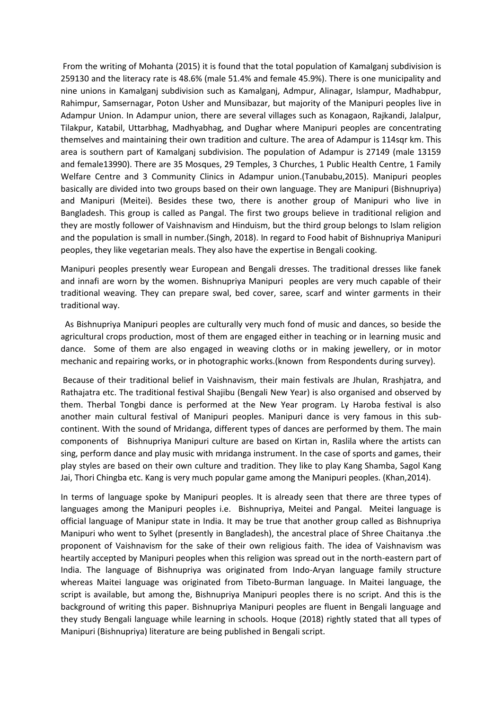From the writing of Mohanta (2015) it is found that the total population of Kamalganj subdivision is 259130 and the literacy rate is 48.6% (male 51.4% and female 45.9%). There is one municipality and nine unions in Kamalganj subdivision such as Kamalganj, Admpur, Alinagar, Islampur, Madhabpur, Rahimpur, Samsernagar, Poton Usher and Munsibazar, but majority of the Manipuri peoples live in Adampur Union. In Adampur union, there are several villages such as Konagaon, Rajkandi, Jalalpur, Tilakpur, Katabil, Uttarbhag, Madhyabhag, and Dughar where Manipuri peoples are concentrating themselves and maintaining their own tradition and culture. The area of Adampur is 114sqr km. This area is southern part of Kamalganj subdivision. The population of Adampur is 27149 (male 13159 and female13990). There are 35 Mosques, 29 Temples, 3 Churches, 1 Public Health Centre, 1 Family Welfare Centre and 3 Community Clinics in Adampur union.(Tanubabu,2015). Manipuri peoples basically are divided into two groups based on their own language. They are Manipuri (Bishnupriya) and Manipuri (Meitei). Besides these two, there is another group of Manipuri who live in Bangladesh. This group is called as Pangal. The first two groups believe in traditional religion and they are mostly follower of Vaishnavism and Hinduism, but the third group belongs to Islam religion and the population is small in number.(Singh, 2018). In regard to Food habit of Bishnupriya Manipuri peoples, they like vegetarian meals. They also have the expertise in Bengali cooking.

Manipuri peoples presently wear European and Bengali dresses. The traditional dresses like fanek and innafi are worn by the women. Bishnupriya Manipuri peoples are very much capable of their traditional weaving. They can prepare swal, bed cover, saree, scarf and winter garments in their traditional way.

 As Bishnupriya Manipuri peoples are culturally very much fond of music and dances, so beside the agricultural crops production, most of them are engaged either in teaching or in learning music and dance. Some of them are also engaged in weaving cloths or in making jewellery, or in motor mechanic and repairing works, or in photographic works.(known from Respondents during survey).

Because of their traditional belief in Vaishnavism, their main festivals are Jhulan, Rrashjatra, and Rathajatra etc. The traditional festival Shajibu (Bengali New Year) is also organised and observed by them. Therbal Tongbi dance is performed at the New Year program. Ly Haroba festival is also another main cultural festival of Manipuri peoples. Manipuri dance is very famous in this subcontinent. With the sound of Mridanga, different types of dances are performed by them. The main components of Bishnupriya Manipuri culture are based on Kirtan in, Raslila where the artists can sing, perform dance and play music with mridanga instrument. In the case of sports and games, their play styles are based on their own culture and tradition. They like to play Kang Shamba, Sagol Kang Jai, Thori Chingba etc. Kang is very much popular game among the Manipuri peoples. (Khan,2014).

In terms of language spoke by Manipuri peoples. It is already seen that there are three types of languages among the Manipuri peoples i.e. Bishnupriya, Meitei and Pangal. Meitei language is official language of Manipur state in India. It may be true that another group called as Bishnupriya Manipuri who went to Sylhet (presently in Bangladesh), the ancestral place of Shree Chaitanya .the proponent of Vaishnavism for the sake of their own religious faith. The idea of Vaishnavism was heartily accepted by Manipuri peoples when this religion was spread out in the north-eastern part of India. The language of Bishnupriya was originated from Indo-Aryan language family structure whereas Maitei language was originated from Tibeto-Burman language. In Maitei language, the script is available, but among the, Bishnupriya Manipuri peoples there is no script. And this is the background of writing this paper. Bishnupriya Manipuri peoples are fluent in Bengali language and they study Bengali language while learning in schools. Hoque (2018) rightly stated that all types of Manipuri (Bishnupriya) literature are being published in Bengali script.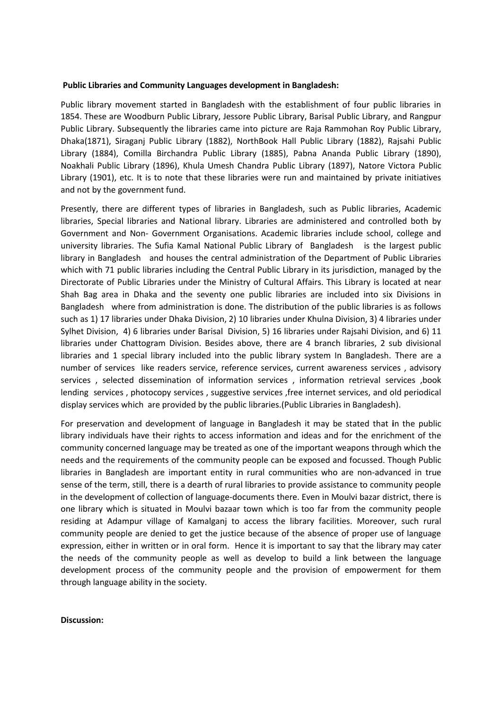#### **Public Libraries and Community Languages development in Bangladesh:**

Public library movement started in Bangladesh with the establishment of four public libraries in 1854. These are Woodburn Public Library, Jessore Public Library, Barisal Public Library, and Rangpur Public Library. Subsequently the libraries came into picture are Raja Rammohan Roy Public Library, Dhaka(1871), Siraganj Public Library (1882), NorthBook Hall Public Library (1882), Rajsahi Public Library (1884), Comilla Birchandra Public Library (1885), Pabna Ananda Public Library (1890), Noakhali Public Library (1896), Khula Umesh Chandra Public Library (1897), Natore Victora Public Library (1901), etc. It is to note that these libraries were run and maintained by private initiatives and not by the government fund.

Presently, there are different types of libraries in Bangladesh, such as Public libraries, Academic libraries, Special libraries and National library. Libraries are administered and controlled both by Government and Non- Government Organisations. Academic libraries include school, college and university libraries. The Sufia Kamal National Public Library of Bangladesh is the largest public library in Bangladesh and houses the central administration of the Department of Public Libraries which with 71 public libraries including the Central Public Library in its jurisdiction, managed by the Directorate of Public Libraries under the Ministry of Cultural Affairs. This Library is located at near Shah Bag area in Dhaka and the seventy one public libraries are included into six Divisions in Bangladesh where from administration is done. The distribution of the public libraries is as follows such as 1) 17 libraries under Dhaka Division, 2) 10 libraries under Khulna Division, 3) 4 libraries under Sylhet Division, 4) 6 libraries under Barisal Division, 5) 16 libraries under Rajsahi Division, and 6) 11 libraries under Chattogram Division. Besides above, there are 4 branch libraries, 2 sub divisional libraries and 1 special library included into the public library system In Bangladesh. There are a number of services like readers service, reference services, current awareness services , advisory services , selected dissemination of information services , information retrieval services ,book lending services , photocopy services , suggestive services ,free internet services, and old periodical display services which are provided by the public libraries.(Public Libraries in Bangladesh).

For preservation and development of language in Bangladesh it may be stated that **i**n the public library individuals have their rights to access information and ideas and for the enrichment of the community concerned language may be treated as one of the important weapons through which the needs and the requirements of the community people can be exposed and focussed. Though Public libraries in Bangladesh are important entity in rural communities who are non-advanced in true sense of the term, still, there is a dearth of rural libraries to provide assistance to community people in the development of collection of language-documents there. Even in Moulvi bazar district, there is one library which is situated in Moulvi bazaar town which is too far from the community people residing at Adampur village of Kamalganj to access the library facilities. Moreover, such rural community people are denied to get the justice because of the absence of proper use of language expression, either in written or in oral form. Hence it is important to say that the library may cater the needs of the community people as well as develop to build a link between the language development process of the community people and the provision of empowerment for them through language ability in the society.

#### **Discussion:**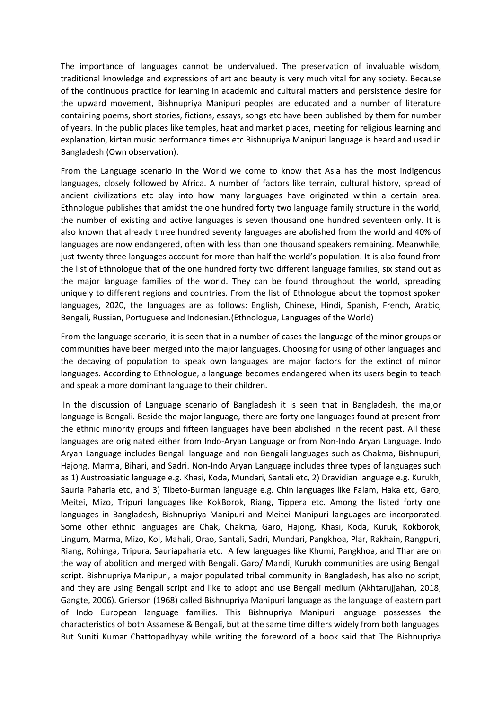The importance of languages cannot be undervalued. The preservation of invaluable wisdom, traditional knowledge and expressions of art and beauty is very much vital for any society. Because of the continuous practice for learning in academic and cultural matters and persistence desire for the upward movement, Bishnupriya Manipuri peoples are educated and a number of literature containing poems, short stories, fictions, essays, songs etc have been published by them for number of years. In the public places like temples, haat and market places, meeting for religious learning and explanation, kirtan music performance times etc Bishnupriya Manipuri language is heard and used in Bangladesh (Own observation).

From the Language scenario in the World we come to know that Asia has the most indigenous languages, closely followed by Africa. A number of factors like terrain, cultural history, spread of ancient civilizations etc play into how many languages have originated within a certain area. Ethnologue publishes that amidst the one hundred forty two language family structure in the world, the number of existing and active languages is seven thousand one hundred seventeen only. It is also known that already three hundred seventy languages are abolished from the world and 40% of languages are now endangered, often with less than one thousand speakers remaining. Meanwhile, just twenty three languages account for more than half the world's population. It is also found from the list of Ethnologue that of the one hundred forty two different language families, six stand out as the major language families of the world. They can be found throughout the world, spreading uniquely to different regions and countries. From the list of Ethnologue about the topmost spoken languages, 2020, the languages are as follows: English, Chinese, Hindi, Spanish, French, Arabic, Bengali, Russian, Portuguese and Indonesian.(Ethnologue, Languages of the World)

From the language scenario, it is seen that in a number of cases the language of the minor groups or communities have been merged into the major languages. Choosing for using of other languages and the decaying of population to speak own languages are major factors for the extinct of minor languages. According to Ethnologue, a language becomes endangered when its users begin to teach and speak a more dominant language to their children.

In the discussion of Language scenario of Bangladesh it is seen that in Bangladesh, the major language is Bengali. Beside the major language, there are forty one languages found at present from the ethnic minority groups and fifteen languages have been abolished in the recent past. All these languages are originated either from Indo-Aryan Language or from Non-Indo Aryan Language. Indo Aryan Language includes Bengali language and non Bengali languages such as Chakma, Bishnupuri, Hajong, Marma, Bihari, and Sadri. Non-Indo Aryan Language includes three types of languages such as 1) Austroasiatic language e.g. Khasi, Koda, Mundari, Santali etc, 2) Dravidian language e.g. Kurukh, Sauria Paharia etc, and 3) Tibeto-Burman language e.g. Chin languages like Falam, Haka etc, Garo, Meitei, Mizo, Tripuri languages like KokBorok, Riang, Tippera etc. Among the listed forty one languages in Bangladesh, Bishnupriya Manipuri and Meitei Manipuri languages are incorporated. Some other ethnic languages are Chak, Chakma, Garo, Hajong, Khasi, Koda, Kuruk, Kokborok, Lingum, Marma, Mizo, Kol, Mahali, Orao, Santali, Sadri, Mundari, Pangkhoa, Plar, Rakhain, Rangpuri, Riang, Rohinga, Tripura, Sauriapaharia etc. A few languages like Khumi, Pangkhoa, and Thar are on the way of abolition and merged with Bengali. Garo/ Mandi, Kurukh communities are using Bengali script. Bishnupriya Manipuri, a major populated tribal community in Bangladesh, has also no script, and they are using Bengali script and like to adopt and use Bengali medium (Akhtarujjahan, 2018; Gangte, 2006). Grierson (1968) called Bishnupriya Manipuri language as the language of eastern part of Indo European language families. This Bishnupriya Manipuri language possesses the characteristics of both Assamese & Bengali, but at the same time differs widely from both languages. But Suniti Kumar Chattopadhyay while writing the foreword of a book said that The Bishnupriya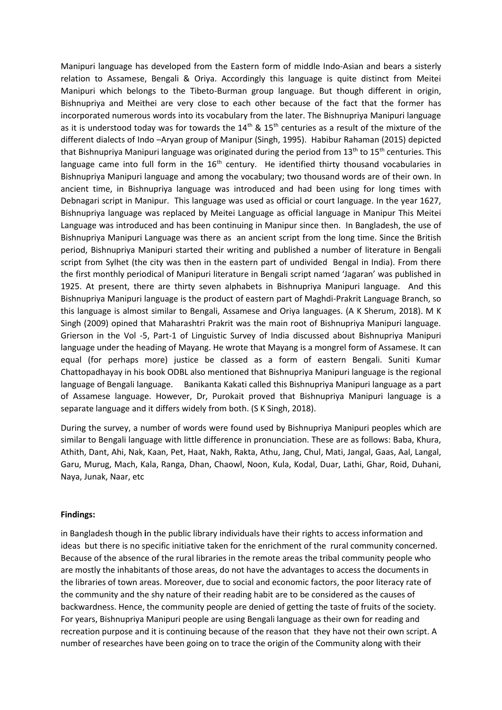Manipuri language has developed from the Eastern form of middle Indo-Asian and bears a sisterly relation to Assamese, Bengali & Oriya. Accordingly this language is quite distinct from Meitei Manipuri which belongs to the Tibeto-Burman group language. But though different in origin, Bishnupriya and Meithei are very close to each other because of the fact that the former has incorporated numerous words into its vocabulary from the later. The Bishnupriya Manipuri language as it is understood today was for towards the  $14^{th}$  &  $15^{th}$  centuries as a result of the mixture of the different dialects of Indo –Aryan group of Manipur (Singh, 1995). Habibur Rahaman (2015) depicted that Bishnupriya Manipuri language was originated during the period from 13<sup>th</sup> to 15<sup>th</sup> centuries. This language came into full form in the  $16<sup>th</sup>$  century. He identified thirty thousand vocabularies in Bishnupriya Manipuri language and among the vocabulary; two thousand words are of their own. In ancient time, in Bishnupriya language was introduced and had been using for long times with Debnagari script in Manipur. This language was used as official or court language. In the year 1627, Bishnupriya language was replaced by Meitei Language as official language in Manipur This Meitei Language was introduced and has been continuing in Manipur since then. In Bangladesh, the use of Bishnupriya Manipuri Language was there as an ancient script from the long time. Since the British period, Bishnupriya Manipuri started their writing and published a number of literature in Bengali script from Sylhet (the city was then in the eastern part of undivided Bengal in India). From there the first monthly periodical of Manipuri literature in Bengali script named 'Jagaran' was published in 1925. At present, there are thirty seven alphabets in Bishnupriya Manipuri language. And this Bishnupriya Manipuri language is the product of eastern part of Maghdi-Prakrit Language Branch, so this language is almost similar to Bengali, Assamese and Oriya languages. (A K Sherum, 2018). M K Singh (2009) opined that Maharashtri Prakrit was the main root of Bishnupriya Manipuri language. Grierson in the Vol -5, Part-1 of Linguistic Survey of India discussed about Bishnupriya Manipuri language under the heading of Mayang. He wrote that Mayang is a mongrel form of Assamese. It can equal (for perhaps more) justice be classed as a form of eastern Bengali. Suniti Kumar Chattopadhayay in his book ODBL also mentioned that Bishnupriya Manipuri language is the regional language of Bengali language. Banikanta Kakati called this Bishnupriya Manipuri language as a part of Assamese language. However, Dr, Purokait proved that Bishnupriya Manipuri language is a separate language and it differs widely from both. (S K Singh, 2018).

During the survey, a number of words were found used by Bishnupriya Manipuri peoples which are similar to Bengali language with little difference in pronunciation. These are as follows: Baba, Khura, Athith, Dant, Ahi, Nak, Kaan, Pet, Haat, Nakh, Rakta, Athu, Jang, Chul, Mati, Jangal, Gaas, Aal, Langal, Garu, Murug, Mach, Kala, Ranga, Dhan, Chaowl, Noon, Kula, Kodal, Duar, Lathi, Ghar, Roid, Duhani, Naya, Junak, Naar, etc

# **Findings:**

in Bangladesh though **i**n the public library individuals have their rights to access information and ideas but there is no specific initiative taken for the enrichment of the rural community concerned. Because of the absence of the rural libraries in the remote areas the tribal community people who are mostly the inhabitants of those areas, do not have the advantages to access the documents in the libraries of town areas. Moreover, due to social and economic factors, the poor literacy rate of the community and the shy nature of their reading habit are to be considered as the causes of backwardness. Hence, the community people are denied of getting the taste of fruits of the society. For years, Bishnupriya Manipuri people are using Bengali language as their own for reading and recreation purpose and it is continuing because of the reason that they have not their own script. A number of researches have been going on to trace the origin of the Community along with their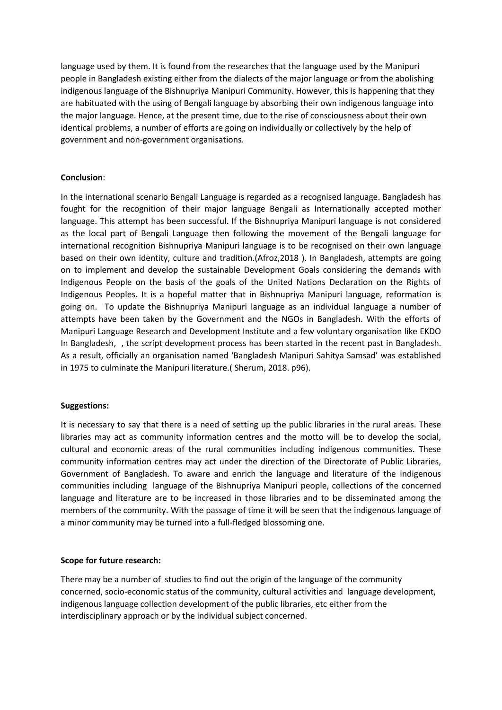language used by them. It is found from the researches that the language used by the Manipuri people in Bangladesh existing either from the dialects of the major language or from the abolishing indigenous language of the Bishnupriya Manipuri Community. However, this is happening that they are habituated with the using of Bengali language by absorbing their own indigenous language into the major language. Hence, at the present time, due to the rise of consciousness about their own identical problems, a number of efforts are going on individually or collectively by the help of government and non-government organisations.

# **Conclusion**:

In the international scenario Bengali Language is regarded as a recognised language. Bangladesh has fought for the recognition of their major language Bengali as Internationally accepted mother language. This attempt has been successful. If the Bishnupriya Manipuri language is not considered as the local part of Bengali Language then following the movement of the Bengali language for international recognition Bishnupriya Manipuri language is to be recognised on their own language based on their own identity, culture and tradition.(Afroz,2018 ). In Bangladesh, attempts are going on to implement and develop the sustainable Development Goals considering the demands with Indigenous People on the basis of the goals of the United Nations Declaration on the Rights of Indigenous Peoples. It is a hopeful matter that in Bishnupriya Manipuri language, reformation is going on. To update the Bishnupriya Manipuri language as an individual language a number of attempts have been taken by the Government and the NGOs in Bangladesh. With the efforts of Manipuri Language Research and Development Institute and a few voluntary organisation like EKDO In Bangladesh, , the script development process has been started in the recent past in Bangladesh. As a result, officially an organisation named 'Bangladesh Manipuri Sahitya Samsad' was established in 1975 to culminate the Manipuri literature.( Sherum, 2018. p96).

# **Suggestions:**

It is necessary to say that there is a need of setting up the public libraries in the rural areas. These libraries may act as community information centres and the motto will be to develop the social, cultural and economic areas of the rural communities including indigenous communities. These community information centres may act under the direction of the Directorate of Public Libraries, Government of Bangladesh. To aware and enrich the language and literature of the indigenous communities including language of the Bishnupriya Manipuri people, collections of the concerned language and literature are to be increased in those libraries and to be disseminated among the members of the community. With the passage of time it will be seen that the indigenous language of a minor community may be turned into a full-fledged blossoming one.

# **Scope for future research:**

There may be a number of studies to find out the origin of the language of the community concerned, socio-economic status of the community, cultural activities and language development, indigenous language collection development of the public libraries, etc either from the interdisciplinary approach or by the individual subject concerned.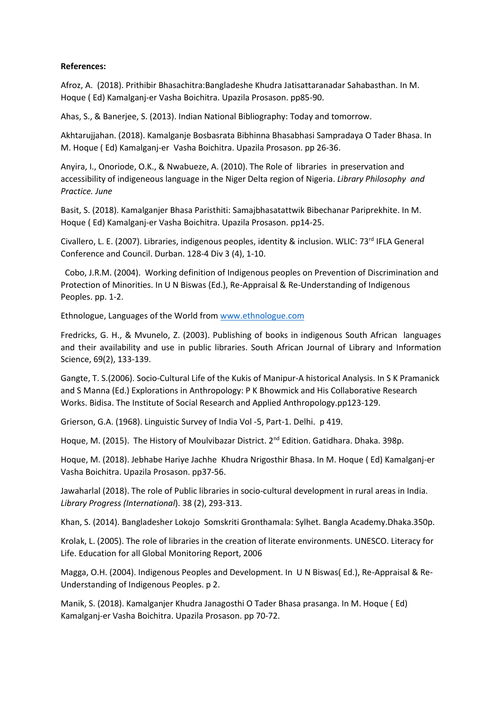# **References:**

Afroz, A. (2018). Prithibir Bhasachitra:Bangladeshe Khudra Jatisattaranadar Sahabasthan. In M. Hoque ( Ed) Kamalganj-er Vasha Boichitra. Upazila Prosason. pp85-90.

Ahas, S., & Banerjee, S. (2013). Indian National Bibliography: Today and tomorrow.

Akhtarujjahan. (2018). Kamalganje Bosbasrata Bibhinna Bhasabhasi Sampradaya O Tader Bhasa. In M. Hoque ( Ed) Kamalganj-er Vasha Boichitra. Upazila Prosason. pp 26-36.

Anyira, I., Onoriode, O.K., & Nwabueze, A. (2010). The Role of libraries in preservation and accessibility of indigeneous language in the Niger Delta region of Nigeria. *Library Philosophy and Practice. June*

Basit, S. (2018). Kamalganjer Bhasa Paristhiti: Samajbhasatattwik Bibechanar Pariprekhite. In M. Hoque ( Ed) Kamalganj-er Vasha Boichitra. Upazila Prosason. pp14-25.

Civallero, L. E. (2007). Libraries, indigenous peoples, identity & inclusion. WLIC: 73rd IFLA General Conference and Council. Durban. 128-4 Div 3 (4), 1-10.

 Cobo, J.R.M. (2004). Working definition of Indigenous peoples on Prevention of Discrimination and Protection of Minorities. In U N Biswas (Ed.), Re-Appraisal & Re-Understanding of Indigenous Peoples. pp. 1-2.

Ethnologue, Languages of the World from [www.ethnologue.com](http://www.ethnologue.com/)

Fredricks, G. H., & Mvunelo, Z. (2003). Publishing of books in indigenous South African languages and their availability and use in public libraries. South African Journal of Library and Information Science, 69(2), 133-139.

Gangte, T. S.(2006). Socio-Cultural Life of the Kukis of Manipur-A historical Analysis. In S K Pramanick and S Manna (Ed.) Explorations in Anthropology: P K Bhowmick and His Collaborative Research Works. Bidisa. The Institute of Social Research and Applied Anthropology.pp123-129.

Grierson, G.A. (1968). Linguistic Survey of India Vol -5, Part-1. Delhi. p 419.

Hoque, M. (2015). The History of Moulvibazar District. 2<sup>nd</sup> Edition. Gatidhara. Dhaka. 398p.

Hoque, M. (2018). Jebhabe Hariye Jachhe Khudra Nrigosthir Bhasa. In M. Hoque ( Ed) Kamalganj-er Vasha Boichitra. Upazila Prosason. pp37-56.

Jawaharlal (2018). The role of Public libraries in socio-cultural development in rural areas in India. *Library Progress (International*). 38 (2), 293-313.

Khan, S. (2014). Bangladesher Lokojo Somskriti Gronthamala: Sylhet. Bangla Academy.Dhaka.350p.

Krolak, L. (2005). The role of libraries in the creation of literate environments. UNESCO. Literacy for Life. Education for all Global Monitoring Report, 2006

Magga, O.H. (2004). Indigenous Peoples and Development. In U N Biswas( Ed.), Re-Appraisal & Re-Understanding of Indigenous Peoples. p 2.

Manik, S. (2018). Kamalganjer Khudra Janagosthi O Tader Bhasa prasanga. In M. Hoque ( Ed) Kamalganj-er Vasha Boichitra. Upazila Prosason. pp 70-72.